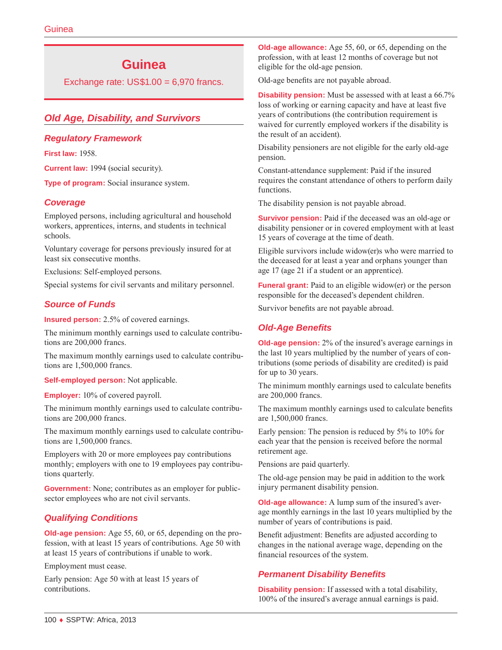# **Guinea**

Exchange rate:  $US$1.00 = 6,970$  francs.

# *Old Age, Disability, and Survivors*

### *Regulatory Framework*

**First law:** 1958.

**Current law:** 1994 (social security).

**Type of program:** Social insurance system.

### *Coverage*

Employed persons, including agricultural and household workers, apprentices, interns, and students in technical schools.

Voluntary coverage for persons previously insured for at least six consecutive months.

Exclusions: Self-employed persons.

Special systems for civil servants and military personnel.

# *Source of Funds*

**Insured person:** 2.5% of covered earnings.

The minimum monthly earnings used to calculate contributions are 200,000 francs.

The maximum monthly earnings used to calculate contributions are 1,500,000 francs.

**Self-employed person:** Not applicable.

**Employer:** 10% of covered payroll.

The minimum monthly earnings used to calculate contributions are 200,000 francs.

The maximum monthly earnings used to calculate contributions are 1,500,000 francs.

Employers with 20 or more employees pay contributions monthly; employers with one to 19 employees pay contributions quarterly.

**Government:** None; contributes as an employer for publicsector employees who are not civil servants.

# *Qualifying Conditions*

**Old-age pension:** Age 55, 60, or 65, depending on the profession, with at least 15 years of contributions. Age 50 with at least 15 years of contributions if unable to work.

Employment must cease.

Early pension: Age 50 with at least 15 years of contributions.

**Old-age allowance:** Age 55, 60, or 65, depending on the profession, with at least 12 months of coverage but not eligible for the old-age pension.

Old-age benefits are not payable abroad.

**Disability pension:** Must be assessed with at least a 66.7% loss of working or earning capacity and have at least five years of contributions (the contribution requirement is waived for currently employed workers if the disability is the result of an accident).

Disability pensioners are not eligible for the early old-age pension.

Constant-attendance supplement: Paid if the insured requires the constant attendance of others to perform daily functions.

The disability pension is not payable abroad.

**Survivor pension:** Paid if the deceased was an old-age or disability pensioner or in covered employment with at least 15 years of coverage at the time of death.

Eligible survivors include widow(er)s who were married to the deceased for at least a year and orphans younger than age 17 (age 21 if a student or an apprentice).

**Funeral grant:** Paid to an eligible widow(er) or the person responsible for the deceased's dependent children.

Survivor benefits are not payable abroad.

# *Old-Age Benefits*

**Old-age pension:** 2% of the insured's average earnings in the last 10 years multiplied by the number of years of contributions (some periods of disability are credited) is paid for up to 30 years.

The minimum monthly earnings used to calculate benefits are 200,000 francs.

The maximum monthly earnings used to calculate benefits are 1,500,000 francs.

Early pension: The pension is reduced by 5% to 10% for each year that the pension is received before the normal retirement age.

Pensions are paid quarterly.

The old-age pension may be paid in addition to the work injury permanent disability pension.

**Old-age allowance:** A lump sum of the insured's average monthly earnings in the last 10 years multiplied by the number of years of contributions is paid.

Benefit adjustment: Benefits are adjusted according to changes in the national average wage, depending on the financial resources of the system.

# *Permanent Disability Benefits*

**Disability pension:** If assessed with a total disability, 100% of the insured's average annual earnings is paid.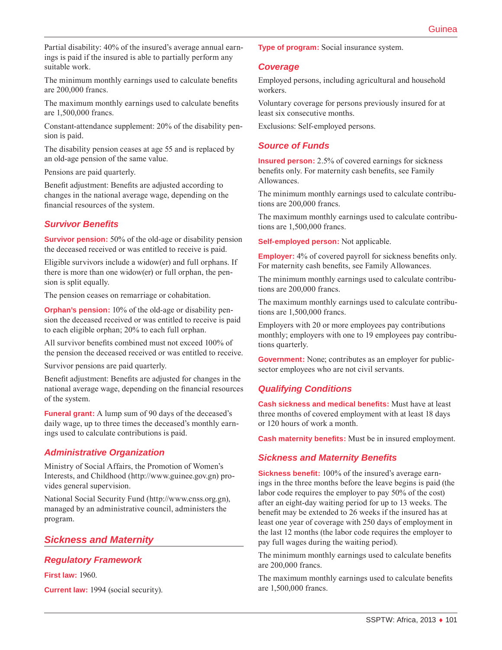Partial disability: 40% of the insured's average annual earnings is paid if the insured is able to partially perform any suitable work.

The minimum monthly earnings used to calculate benefits are 200,000 francs.

The maximum monthly earnings used to calculate benefits are 1,500,000 francs.

Constant-attendance supplement: 20% of the disability pension is paid.

The disability pension ceases at age 55 and is replaced by an old-age pension of the same value.

Pensions are paid quarterly.

Benefit adjustment: Benefits are adjusted according to changes in the national average wage, depending on the financial resources of the system.

### *Survivor Benefits*

**Survivor pension:** 50% of the old-age or disability pension the deceased received or was entitled to receive is paid.

Eligible survivors include a widow(er) and full orphans. If there is more than one widow(er) or full orphan, the pension is split equally.

The pension ceases on remarriage or cohabitation.

**Orphan's pension:** 10% of the old-age or disability pension the deceased received or was entitled to receive is paid to each eligible orphan; 20% to each full orphan.

All survivor benefits combined must not exceed 100% of the pension the deceased received or was entitled to receive.

Survivor pensions are paid quarterly.

Benefit adjustment: Benefits are adjusted for changes in the national average wage, depending on the financial resources of the system.

**Funeral grant:** A lump sum of 90 days of the deceased's daily wage, up to three times the deceased's monthly earnings used to calculate contributions is paid.

# *Administrative Organization*

Ministry of Social Affairs, the Promotion of Women's Interests, and Childhood ([http://www.guinee.gov.gn\)](http://www.guinee.gov.gn) provides general supervision.

National Social Security Fund [\(http://www.cnss.org.gn](http://www.cnss.org.gn)), managed by an administrative council, administers the program.

# *Sickness and Maternity*

# *Regulatory Framework*

**First law:** 1960.

**Current law:** 1994 (social security).

**Type of program:** Social insurance system.

### *Coverage*

Employed persons, including agricultural and household workers.

Voluntary coverage for persons previously insured for at least six consecutive months.

Exclusions: Self-employed persons.

### *Source of Funds*

**Insured person:** 2.5% of covered earnings for sickness benefits only. For maternity cash benefits, see Family Allowances.

The minimum monthly earnings used to calculate contributions are 200,000 francs.

The maximum monthly earnings used to calculate contributions are 1,500,000 francs.

**Self-employed person:** Not applicable.

**Employer:** 4% of covered payroll for sickness benefits only. For maternity cash benefits, see Family Allowances.

The minimum monthly earnings used to calculate contributions are 200,000 francs.

The maximum monthly earnings used to calculate contributions are 1,500,000 francs.

Employers with 20 or more employees pay contributions monthly; employers with one to 19 employees pay contributions quarterly.

**Government:** None; contributes as an employer for publicsector employees who are not civil servants.

### *Qualifying Conditions*

**Cash sickness and medical benefits:** Must have at least three months of covered employment with at least 18 days or 120 hours of work a month.

**Cash maternity benefits:** Must be in insured employment.

### *Sickness and Maternity Benefits*

**Sickness benefit:** 100% of the insured's average earnings in the three months before the leave begins is paid (the labor code requires the employer to pay 50% of the cost) after an eight-day waiting period for up to 13 weeks. The benefit may be extended to 26 weeks if the insured has at least one year of coverage with 250 days of employment in the last 12 months (the labor code requires the employer to pay full wages during the waiting period).

The minimum monthly earnings used to calculate benefits are 200,000 francs.

The maximum monthly earnings used to calculate benefits are 1,500,000 francs.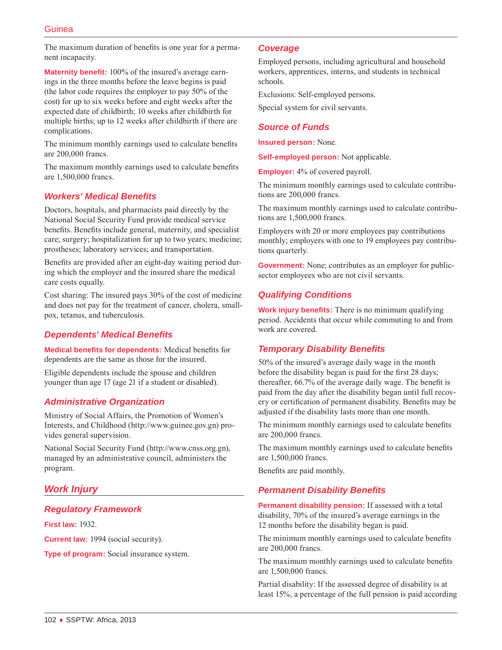The maximum duration of benefits is one year for a permanent incapacity.

**Maternity benefit:** 100% of the insured's average earnings in the three months before the leave begins is paid (the labor code requires the employer to pay 50% of the cost) for up to six weeks before and eight weeks after the expected date of childbirth; 10 weeks after childbirth for multiple births; up to 12 weeks after childbirth if there are complications.

The minimum monthly earnings used to calculate benefits are 200,000 francs.

The maximum monthly earnings used to calculate benefits are 1,500,000 francs.

# *Workers' Medical Benefits*

Doctors, hospitals, and pharmacists paid directly by the National Social Security Fund provide medical service benefits. Benefits include general, maternity, and specialist care; surgery; hospitalization for up to two years; medicine; prostheses; laboratory services; and transportation.

Benefits are provided after an eight-day waiting period during which the employer and the insured share the medical care costs equally.

Cost sharing: The insured pays 30% of the cost of medicine and does not pay for the treatment of cancer, cholera, smallpox, tetanus, and tuberculosis.

# *Dependents' Medical Benefits*

**Medical benefits for dependents:** Medical benefits for dependents are the same as those for the insured.

Eligible dependents include the spouse and children younger than age 17 (age 21 if a student or disabled).

# *Administrative Organization*

Ministry of Social Affairs, the Promotion of Women's Interests, and Childhood ([http://www.guinee.gov.gn\)](http://www.guinee.gov.gn) provides general supervision.

National Social Security Fund [\(http://www.cnss.org.gn](http://www.cnss.org.gn)), managed by an administrative council, administers the program.

# *Work Injury*

# *Regulatory Framework*

**First law:** 1932.

**Current law:** 1994 (social security).

**Type of program:** Social insurance system.

#### *Coverage*

Employed persons, including agricultural and household workers, apprentices, interns, and students in technical schools.

Exclusions: Self-employed persons.

Special system for civil servants.

# *Source of Funds*

**Insured person:** None.

**Self-employed person:** Not applicable.

**Employer:** 4% of covered payroll.

The minimum monthly earnings used to calculate contributions are 200,000 francs.

The maximum monthly earnings used to calculate contributions are 1,500,000 francs.

Employers with 20 or more employees pay contributions monthly; employers with one to 19 employees pay contributions quarterly.

**Government:** None; contributes as an employer for publicsector employees who are not civil servants.

# *Qualifying Conditions*

**Work injury benefits:** There is no minimum qualifying period. Accidents that occur while commuting to and from work are covered.

# *Temporary Disability Benefits*

50% of the insured's average daily wage in the month before the disability began is paid for the first 28 days; thereafter, 66.7% of the average daily wage. The benefit is paid from the day after the disability began until full recovery or certification of permanent disability. Benefits may be adjusted if the disability lasts more than one month.

The minimum monthly earnings used to calculate benefits are 200,000 francs.

The maximum monthly earnings used to calculate benefits are 1,500,000 francs.

Benefits are paid monthly.

# *Permanent Disability Benefits*

**Permanent disability pension:** If assessed with a total disability, 70% of the insured's average earnings in the 12 months before the disability began is paid.

The minimum monthly earnings used to calculate benefits are 200,000 francs.

The maximum monthly earnings used to calculate benefits are 1,500,000 francs.

Partial disability: If the assessed degree of disability is at least 15%, a percentage of the full pension is paid according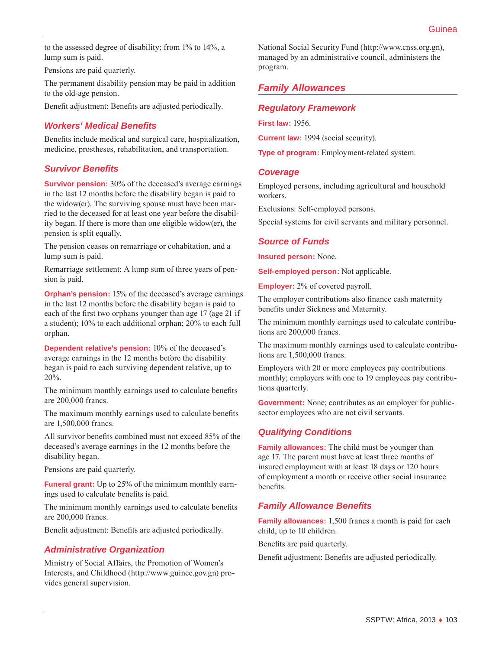to the assessed degree of disability; from 1% to 14%, a lump sum is paid.

Pensions are paid quarterly.

The permanent disability pension may be paid in addition to the old-age pension.

Benefit adjustment: Benefits are adjusted periodically.

# *Workers' Medical Benefits*

Benefits include medical and surgical care, hospitalization, medicine, prostheses, rehabilitation, and transportation.

### *Survivor Benefits*

**Survivor pension:** 30% of the deceased's average earnings in the last 12 months before the disability began is paid to the widow(er). The surviving spouse must have been married to the deceased for at least one year before the disability began. If there is more than one eligible widow(er), the pension is split equally.

The pension ceases on remarriage or cohabitation, and a lump sum is paid.

Remarriage settlement: A lump sum of three years of pension is paid.

**Orphan's pension:** 15% of the deceased's average earnings in the last 12 months before the disability began is paid to each of the first two orphans younger than age 17 (age 21 if a student); 10% to each additional orphan; 20% to each full orphan.

**Dependent relative's pension:** 10% of the deceased's average earnings in the 12 months before the disability began is paid to each surviving dependent relative, up to 20%.

The minimum monthly earnings used to calculate benefits are 200,000 francs.

The maximum monthly earnings used to calculate benefits are 1,500,000 francs.

All survivor benefits combined must not exceed 85% of the deceased's average earnings in the 12 months before the disability began.

Pensions are paid quarterly.

**Funeral grant:** Up to 25% of the minimum monthly earnings used to calculate benefits is paid.

The minimum monthly earnings used to calculate benefits are 200,000 francs.

Benefit adjustment: Benefits are adjusted periodically.

### *Administrative Organization*

Ministry of Social Affairs, the Promotion of Women's Interests, and Childhood ([http://www.guinee.gov.gn\)](http://www.guinee.gov.gn) provides general supervision.

National Social Security Fund [\(http://www.cnss.org.gn](http://www.cnss.org.gn)), managed by an administrative council, administers the program.

# *Family Allowances*

### *Regulatory Framework*

**First law:** 1956.

**Current law:** 1994 (social security).

**Type of program:** Employment-related system.

#### *Coverage*

Employed persons, including agricultural and household workers.

Exclusions: Self-employed persons.

Special systems for civil servants and military personnel.

### *Source of Funds*

**Insured person:** None.

**Self-employed person:** Not applicable.

**Employer:** 2% of covered payroll.

The employer contributions also finance cash maternity benefits under Sickness and Maternity.

The minimum monthly earnings used to calculate contributions are 200,000 francs.

The maximum monthly earnings used to calculate contributions are 1,500,000 francs.

Employers with 20 or more employees pay contributions monthly; employers with one to 19 employees pay contributions quarterly.

**Government:** None; contributes as an employer for publicsector employees who are not civil servants.

# *Qualifying Conditions*

**Family allowances:** The child must be younger than age 17. The parent must have at least three months of insured employment with at least 18 days or 120 hours of employment a month or receive other social insurance benefits.

# *Family Allowance Benefits*

**Family allowances:** 1,500 francs a month is paid for each child, up to 10 children.

Benefits are paid quarterly.

Benefit adjustment: Benefits are adjusted periodically.